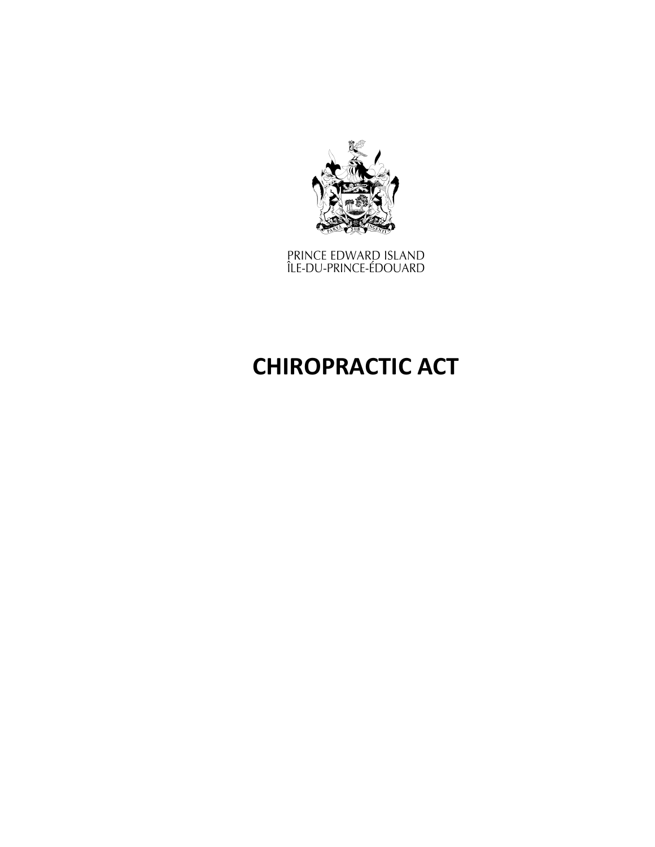

prince edward island<br>Île-du-prince-édouard

# **CHIROPRACTIC ACT**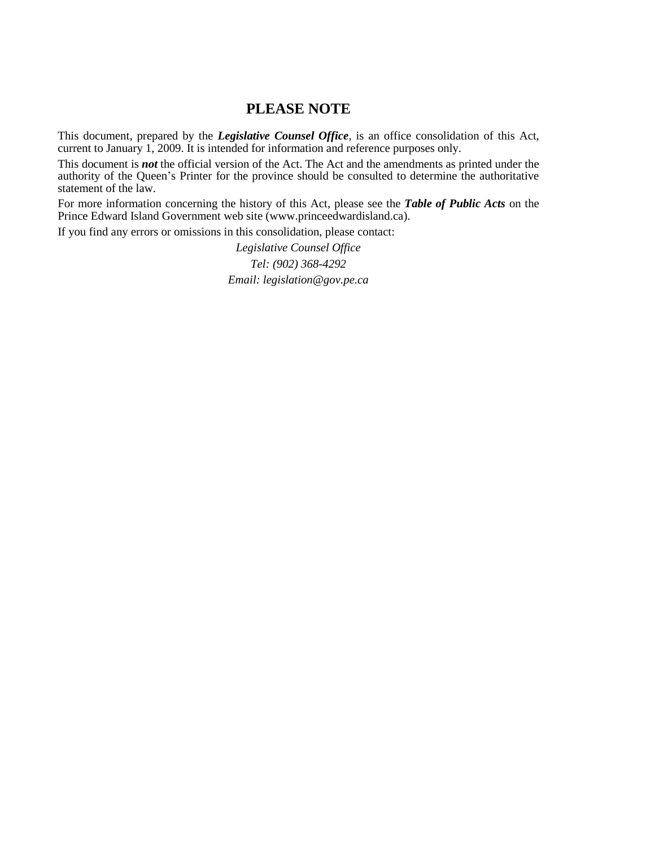### **PLEASE NOTE**

This document, prepared by the *[Legislative](http://www.gov.pe.ca/jps/index.php3?number=1027247) Counsel Office*, is an office consolidation of this Act, current to January 1, 2009. It is intended for information and reference purposes only.

This document is *not* the official version of the Act. The Act and the amendments as printed under the authority of the Queen's Printer for the province should be consulted to determine the authoritative statement of the law.

For more information concerning the history of this Act, please see the *[Table of Public Acts](https://www.princeedwardisland.ca/sites/default/files/publications/leg_table_acts.pdf)* on the Prince Edward Island Government web site (www.princeedwardisland.ca).

If you find any errors or omissions in this consolidation, please contact:

*Legislative Counsel Office Tel: (902) 368-4292 Email: legislation@gov.pe.ca*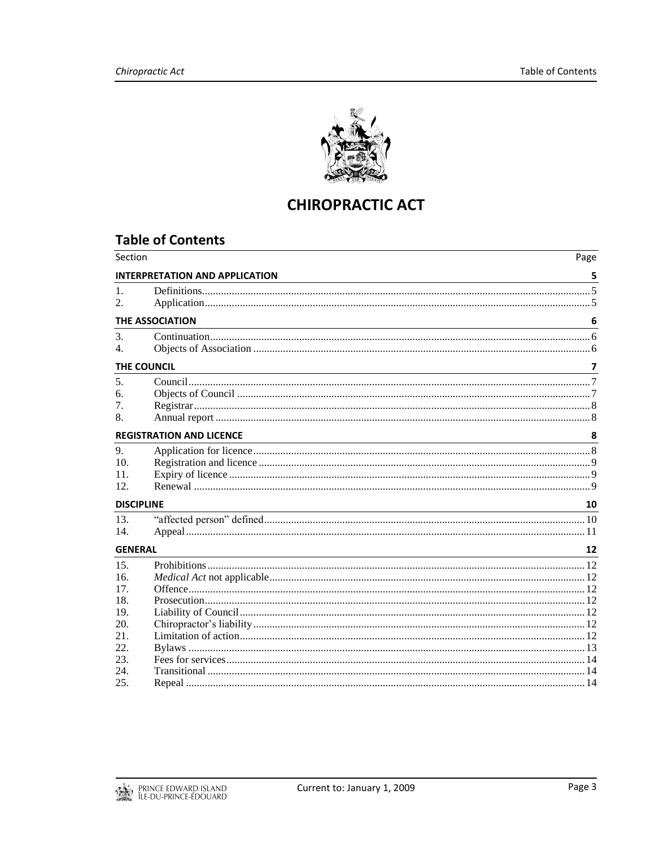

## **CHIROPRACTIC ACT**

## **Table of Contents**

| <b>INTERPRETATION AND APPLICATION</b><br>5<br>6<br><b>THE ASSOCIATION</b><br>$\overline{7}$<br>THE COUNCIL<br><b>REGISTRATION AND LICENCE</b><br>8<br><u> 1989 - Johann Stoff, deutscher Stoffen und der Stoffen und der Stoffen und der Stoffen und der Stoffen und der</u><br>10<br><b>DISCIPLINE</b><br><b>GENERAL</b><br>12<br>20. | Section       | Page |
|----------------------------------------------------------------------------------------------------------------------------------------------------------------------------------------------------------------------------------------------------------------------------------------------------------------------------------------|---------------|------|
|                                                                                                                                                                                                                                                                                                                                        |               |      |
|                                                                                                                                                                                                                                                                                                                                        | 1.            |      |
|                                                                                                                                                                                                                                                                                                                                        | 2.            |      |
|                                                                                                                                                                                                                                                                                                                                        |               |      |
|                                                                                                                                                                                                                                                                                                                                        | $\mathcal{E}$ |      |
|                                                                                                                                                                                                                                                                                                                                        | 4.            |      |
|                                                                                                                                                                                                                                                                                                                                        |               |      |
|                                                                                                                                                                                                                                                                                                                                        | 5.            |      |
|                                                                                                                                                                                                                                                                                                                                        | б.            |      |
|                                                                                                                                                                                                                                                                                                                                        | 7.            |      |
|                                                                                                                                                                                                                                                                                                                                        | 8.            |      |
|                                                                                                                                                                                                                                                                                                                                        |               |      |
|                                                                                                                                                                                                                                                                                                                                        | 9.            |      |
|                                                                                                                                                                                                                                                                                                                                        | 10.           |      |
|                                                                                                                                                                                                                                                                                                                                        | 11.           |      |
|                                                                                                                                                                                                                                                                                                                                        | 12.           |      |
|                                                                                                                                                                                                                                                                                                                                        |               |      |
|                                                                                                                                                                                                                                                                                                                                        | 13.           |      |
|                                                                                                                                                                                                                                                                                                                                        | 14.           |      |
|                                                                                                                                                                                                                                                                                                                                        |               |      |
|                                                                                                                                                                                                                                                                                                                                        | 15.           |      |
|                                                                                                                                                                                                                                                                                                                                        | 16.           |      |
|                                                                                                                                                                                                                                                                                                                                        | 17.           |      |
|                                                                                                                                                                                                                                                                                                                                        | 18.           |      |
|                                                                                                                                                                                                                                                                                                                                        | 19.           |      |
|                                                                                                                                                                                                                                                                                                                                        |               |      |
|                                                                                                                                                                                                                                                                                                                                        | 21.           |      |
|                                                                                                                                                                                                                                                                                                                                        | 22.           |      |
|                                                                                                                                                                                                                                                                                                                                        | 23.           |      |
|                                                                                                                                                                                                                                                                                                                                        | 24.           |      |
|                                                                                                                                                                                                                                                                                                                                        | 25.           |      |

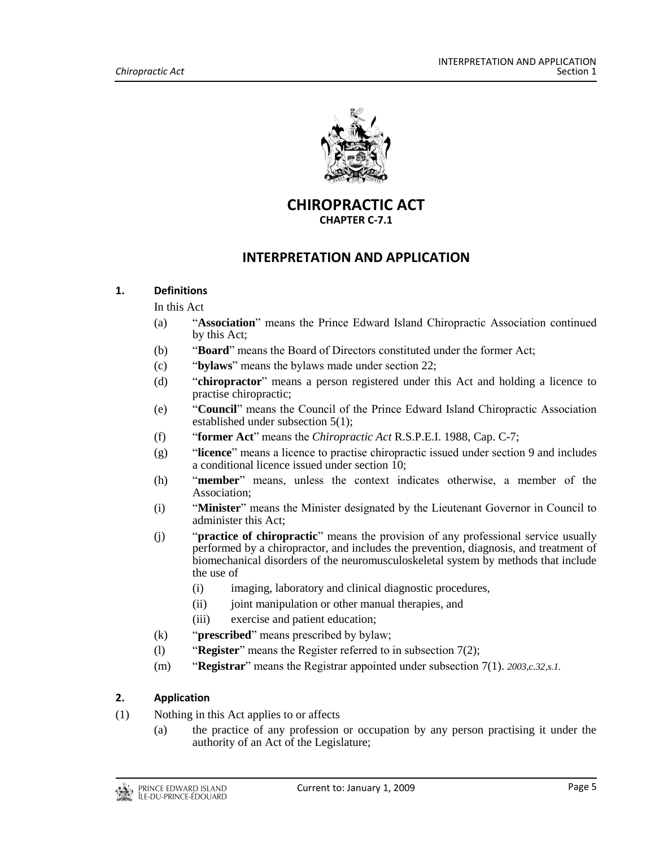

**CHIROPRACTIC ACT CHAPTER C-7.1**

## **INTERPRETATION AND APPLICATION**

#### <span id="page-4-1"></span><span id="page-4-0"></span>**1. Definitions**

In this Act

- (a) "**Association**" means the Prince Edward Island Chiropractic Association continued by this Act;
- (b) "**Board**" means the Board of Directors constituted under the former Act;
- (c) "**bylaws**" means the bylaws made under section 22;
- (d) "**chiropractor**" means a person registered under this Act and holding a licence to practise chiropractic;
- (e) "**Council**" means the Council of the Prince Edward Island Chiropractic Association established under subsection 5(1);
- (f) "**former Act**" means the *Chiropractic Act* R.S.P.E.I. 1988, Cap. C-7;
- (g) "**licence**" means a licence to practise chiropractic issued under section 9 and includes a conditional licence issued under section 10;
- (h) "**member**" means, unless the context indicates otherwise, a member of the Association;
- (i) "**Minister**" means the Minister designated by the Lieutenant Governor in Council to administer this Act;
- (j) "**practice of chiropractic**" means the provision of any professional service usually performed by a chiropractor, and includes the prevention, diagnosis, and treatment of biomechanical disorders of the neuromusculoskeletal system by methods that include the use of
	- (i) imaging, laboratory and clinical diagnostic procedures,
	- (ii) joint manipulation or other manual therapies, and
	- (iii) exercise and patient education;
- (k) "**prescribed**" means prescribed by bylaw;
- (l) "**Register**" means the Register referred to in subsection 7(2);
- (m) "**Registrar**" means the Registrar appointed under subsection 7(1). *2003,c.32,s.1.*

#### <span id="page-4-2"></span>**2. Application**

- (1) Nothing in this Act applies to or affects
	- (a) the practice of any profession or occupation by any person practising it under the authority of an Act of the Legislature;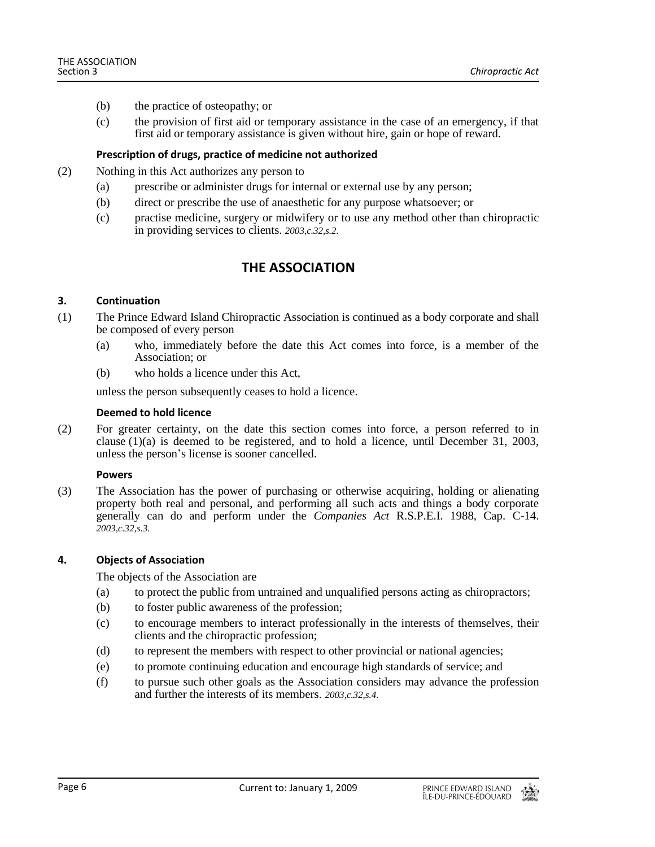- (b) the practice of osteopathy; or
- (c) the provision of first aid or temporary assistance in the case of an emergency, if that first aid or temporary assistance is given without hire, gain or hope of reward.

#### **Prescription of drugs, practice of medicine not authorized**

- (2) Nothing in this Act authorizes any person to
	- (a) prescribe or administer drugs for internal or external use by any person;
	- (b) direct or prescribe the use of anaesthetic for any purpose whatsoever; or
	- (c) practise medicine, surgery or midwifery or to use any method other than chiropractic in providing services to clients. *2003,c.32,s.2.*

## **THE ASSOCIATION**

#### <span id="page-5-1"></span><span id="page-5-0"></span>**3. Continuation**

- (1) The Prince Edward Island Chiropractic Association is continued as a body corporate and shall be composed of every person
	- (a) who, immediately before the date this Act comes into force, is a member of the Association; or
	- (b) who holds a licence under this Act,

unless the person subsequently ceases to hold a licence.

#### **Deemed to hold licence**

(2) For greater certainty, on the date this section comes into force, a person referred to in clause (1)(a) is deemed to be registered, and to hold a licence, until December 31, 2003, unless the person's license is sooner cancelled.

#### **Powers**

(3) The Association has the power of purchasing or otherwise acquiring, holding or alienating property both real and personal, and performing all such acts and things a body corporate generally can do and perform under the *Companies Act* R.S.P.E.I. 1988, Cap. C-14. *2003,c.32,s.3.*

#### <span id="page-5-2"></span>**4. Objects of Association**

The objects of the Association are

- (a) to protect the public from untrained and unqualified persons acting as chiropractors;
- (b) to foster public awareness of the profession;
- (c) to encourage members to interact professionally in the interests of themselves, their clients and the chiropractic profession;
- (d) to represent the members with respect to other provincial or national agencies;
- (e) to promote continuing education and encourage high standards of service; and
- (f) to pursue such other goals as the Association considers may advance the profession and further the interests of its members. *2003,c.32,s.4.*

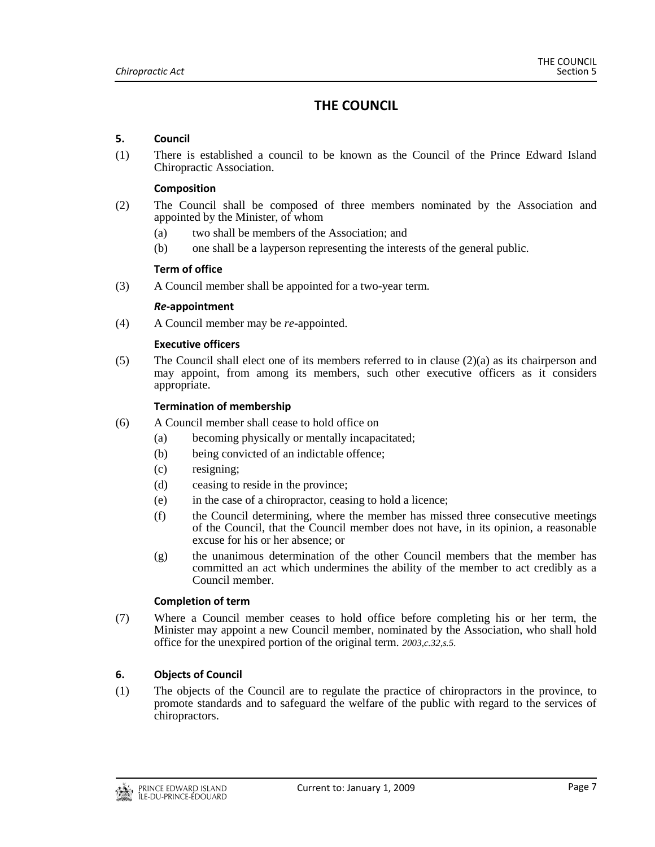## **THE COUNCIL**

#### <span id="page-6-1"></span><span id="page-6-0"></span>**5. Council**

(1) There is established a council to be known as the Council of the Prince Edward Island Chiropractic Association.

#### **Composition**

- (2) The Council shall be composed of three members nominated by the Association and appointed by the Minister, of whom
	- (a) two shall be members of the Association; and
	- (b) one shall be a layperson representing the interests of the general public.

#### **Term of office**

(3) A Council member shall be appointed for a two-year term.

#### *Re***-appointment**

(4) A Council member may be *re*-appointed.

#### **Executive officers**

(5) The Council shall elect one of its members referred to in clause  $(2)(a)$  as its chairperson and may appoint, from among its members, such other executive officers as it considers appropriate.

#### **Termination of membership**

- (6) A Council member shall cease to hold office on
	- (a) becoming physically or mentally incapacitated;
	- (b) being convicted of an indictable offence;
	- (c) resigning;
	- (d) ceasing to reside in the province;
	- (e) in the case of a chiropractor, ceasing to hold a licence;
	- (f) the Council determining, where the member has missed three consecutive meetings of the Council, that the Council member does not have, in its opinion, a reasonable excuse for his or her absence; or
	- (g) the unanimous determination of the other Council members that the member has committed an act which undermines the ability of the member to act credibly as a Council member.

#### **Completion of term**

(7) Where a Council member ceases to hold office before completing his or her term, the Minister may appoint a new Council member, nominated by the Association, who shall hold office for the unexpired portion of the original term. *2003,c.32,s.5.*

#### <span id="page-6-2"></span>**6. Objects of Council**

(1) The objects of the Council are to regulate the practice of chiropractors in the province, to promote standards and to safeguard the welfare of the public with regard to the services of chiropractors.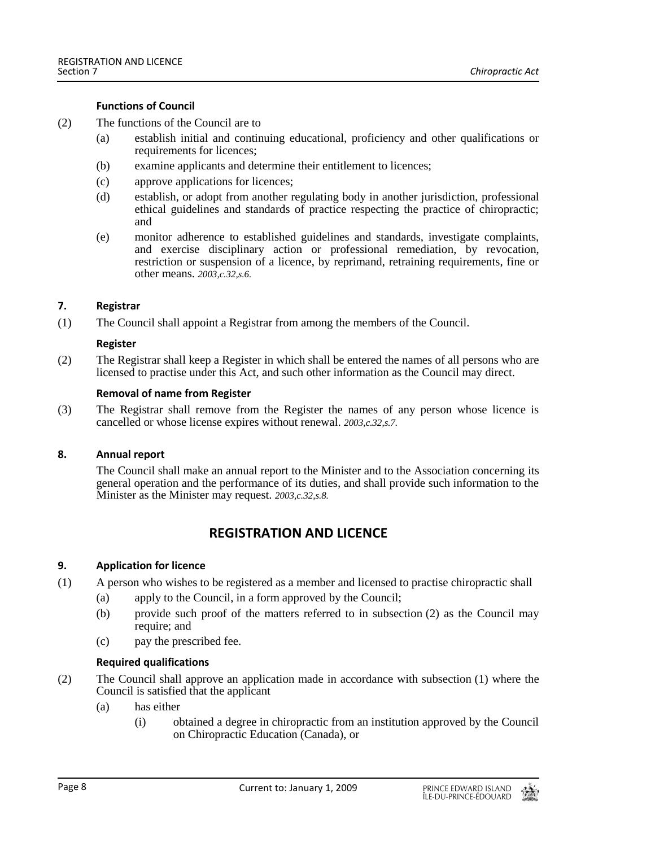#### **Functions of Council**

- (2) The functions of the Council are to
	- (a) establish initial and continuing educational, proficiency and other qualifications or requirements for licences;
	- (b) examine applicants and determine their entitlement to licences;
	- (c) approve applications for licences;
	- (d) establish, or adopt from another regulating body in another jurisdiction, professional ethical guidelines and standards of practice respecting the practice of chiropractic; and
	- (e) monitor adherence to established guidelines and standards, investigate complaints, and exercise disciplinary action or professional remediation, by revocation, restriction or suspension of a licence, by reprimand, retraining requirements, fine or other means. *2003,c.32,s.6.*

#### <span id="page-7-0"></span>**7. Registrar**

(1) The Council shall appoint a Registrar from among the members of the Council.

#### **Register**

(2) The Registrar shall keep a Register in which shall be entered the names of all persons who are licensed to practise under this Act, and such other information as the Council may direct.

#### **Removal of name from Register**

(3) The Registrar shall remove from the Register the names of any person whose licence is cancelled or whose license expires without renewal. *2003,c.32,s.7.*

#### <span id="page-7-2"></span><span id="page-7-1"></span>**8. Annual report**

The Council shall make an annual report to the Minister and to the Association concerning its general operation and the performance of its duties, and shall provide such information to the Minister as the Minister may request. *2003,c.32,s.8.*

## **REGISTRATION AND LICENCE**

#### <span id="page-7-3"></span>**9. Application for licence**

- (1) A person who wishes to be registered as a member and licensed to practise chiropractic shall
	- (a) apply to the Council, in a form approved by the Council;
	- (b) provide such proof of the matters referred to in subsection (2) as the Council may require; and
	- (c) pay the prescribed fee.

#### **Required qualifications**

- (2) The Council shall approve an application made in accordance with subsection (1) where the Council is satisfied that the applicant
	- (a) has either
		- (i) obtained a degree in chiropractic from an institution approved by the Council on Chiropractic Education (Canada), or

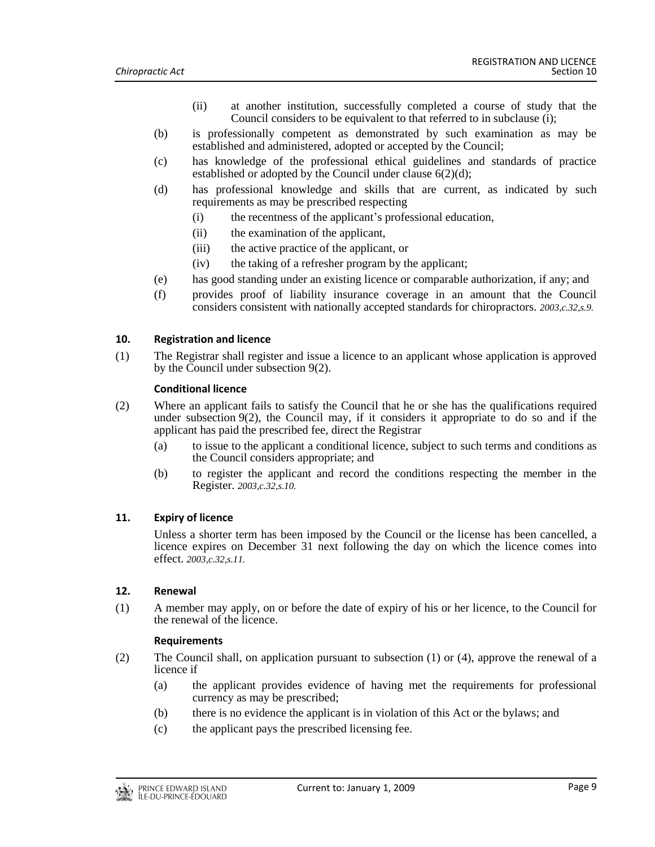- (ii) at another institution, successfully completed a course of study that the Council considers to be equivalent to that referred to in subclause (i);
- (b) is professionally competent as demonstrated by such examination as may be established and administered, adopted or accepted by the Council;
- (c) has knowledge of the professional ethical guidelines and standards of practice established or adopted by the Council under clause 6(2)(d);
- (d) has professional knowledge and skills that are current, as indicated by such requirements as may be prescribed respecting
	- (i) the recentness of the applicant's professional education,
	- (ii) the examination of the applicant,
	- (iii) the active practice of the applicant, or
	- (iv) the taking of a refresher program by the applicant;
- (e) has good standing under an existing licence or comparable authorization, if any; and
- (f) provides proof of liability insurance coverage in an amount that the Council considers consistent with nationally accepted standards for chiropractors. *2003,c.32,s.9.*

#### <span id="page-8-0"></span>**10. Registration and licence**

(1) The Registrar shall register and issue a licence to an applicant whose application is approved by the Council under subsection 9(2).

#### **Conditional licence**

- (2) Where an applicant fails to satisfy the Council that he or she has the qualifications required under subsection 9(2), the Council may, if it considers it appropriate to do so and if the applicant has paid the prescribed fee, direct the Registrar
	- (a) to issue to the applicant a conditional licence, subject to such terms and conditions as the Council considers appropriate; and
	- (b) to register the applicant and record the conditions respecting the member in the Register. *2003,c.32,s.10.*

#### <span id="page-8-1"></span>**11. Expiry of licence**

Unless a shorter term has been imposed by the Council or the license has been cancelled, a licence expires on December 31 next following the day on which the licence comes into effect. *2003,c.32,s.11.*

#### <span id="page-8-2"></span>**12. Renewal**

(1) A member may apply, on or before the date of expiry of his or her licence, to the Council for the renewal of the licence.

#### **Requirements**

- (2) The Council shall, on application pursuant to subsection (1) or (4), approve the renewal of a licence if
	- (a) the applicant provides evidence of having met the requirements for professional currency as may be prescribed;
	- (b) there is no evidence the applicant is in violation of this Act or the bylaws; and
	- (c) the applicant pays the prescribed licensing fee.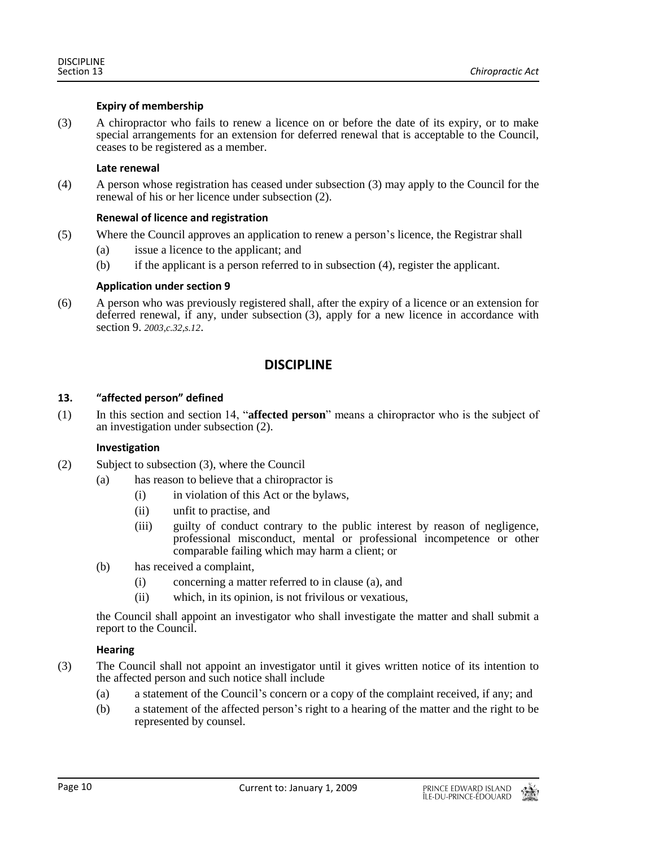#### **Expiry of membership**

(3) A chiropractor who fails to renew a licence on or before the date of its expiry, or to make special arrangements for an extension for deferred renewal that is acceptable to the Council, ceases to be registered as a member.

#### **Late renewal**

(4) A person whose registration has ceased under subsection (3) may apply to the Council for the renewal of his or her licence under subsection (2).

#### **Renewal of licence and registration**

- (5) Where the Council approves an application to renew a person's licence, the Registrar shall
	- (a) issue a licence to the applicant; and
	- (b) if the applicant is a person referred to in subsection (4), register the applicant.

#### **Application under section 9**

<span id="page-9-0"></span>(6) A person who was previously registered shall, after the expiry of a licence or an extension for deferred renewal, if any, under subsection (3), apply for a new licence in accordance with section 9. *2003,c.32,s.12*.

## **DISCIPLINE**

#### <span id="page-9-1"></span>**13. "affected person" defined**

(1) In this section and section 14, "**affected person**" means a chiropractor who is the subject of an investigation under subsection (2).

#### **Investigation**

- (2) Subject to subsection (3), where the Council
	- (a) has reason to believe that a chiropractor is
		- (i) in violation of this Act or the bylaws,
		- (ii) unfit to practise, and
		- (iii) guilty of conduct contrary to the public interest by reason of negligence, professional misconduct, mental or professional incompetence or other comparable failing which may harm a client; or
	- (b) has received a complaint,
		- (i) concerning a matter referred to in clause (a), and
		- (ii) which, in its opinion, is not frivilous or vexatious,

the Council shall appoint an investigator who shall investigate the matter and shall submit a report to the Council.

#### **Hearing**

- (3) The Council shall not appoint an investigator until it gives written notice of its intention to the affected person and such notice shall include
	- (a) a statement of the Council's concern or a copy of the complaint received, if any; and
	- (b) a statement of the affected person's right to a hearing of the matter and the right to be represented by counsel.

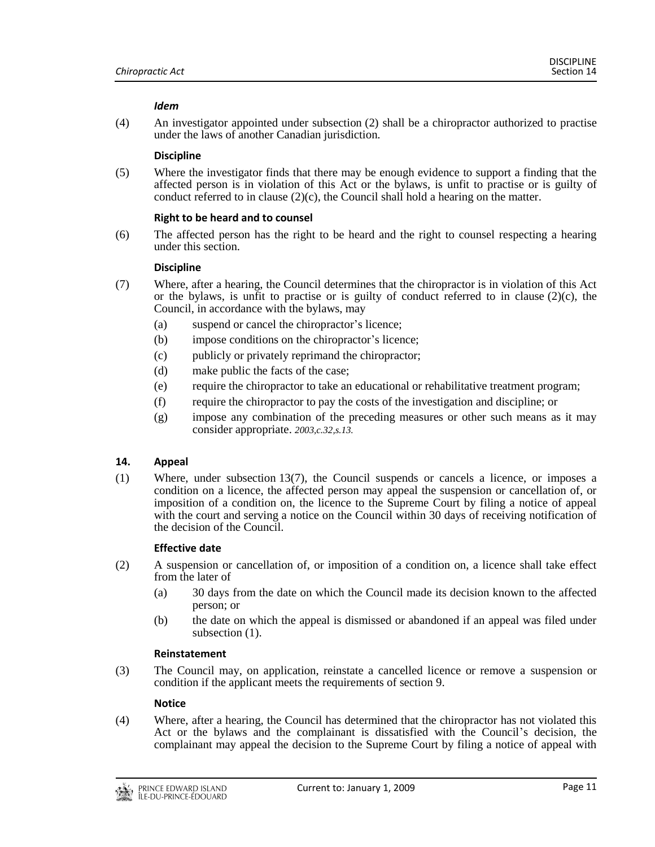#### *Idem*

(4) An investigator appointed under subsection (2) shall be a chiropractor authorized to practise under the laws of another Canadian jurisdiction.

#### **Discipline**

(5) Where the investigator finds that there may be enough evidence to support a finding that the affected person is in violation of this Act or the bylaws, is unfit to practise or is guilty of conduct referred to in clause  $(2)(c)$ , the Council shall hold a hearing on the matter.

#### **Right to be heard and to counsel**

(6) The affected person has the right to be heard and the right to counsel respecting a hearing under this section.

#### **Discipline**

- (7) Where, after a hearing, the Council determines that the chiropractor is in violation of this Act or the bylaws, is unfit to practise or is guilty of conduct referred to in clause  $(2)(c)$ , the Council, in accordance with the bylaws, may
	- (a) suspend or cancel the chiropractor's licence;
	- (b) impose conditions on the chiropractor's licence;
	- (c) publicly or privately reprimand the chiropractor;
	- (d) make public the facts of the case;
	- (e) require the chiropractor to take an educational or rehabilitative treatment program;
	- (f) require the chiropractor to pay the costs of the investigation and discipline; or
	- (g) impose any combination of the preceding measures or other such means as it may consider appropriate. *2003,c.32,s.13.*

#### <span id="page-10-0"></span>**14. Appeal**

(1) Where, under subsection 13(7), the Council suspends or cancels a licence, or imposes a condition on a licence, the affected person may appeal the suspension or cancellation of, or imposition of a condition on, the licence to the Supreme Court by filing a notice of appeal with the court and serving a notice on the Council within 30 days of receiving notification of the decision of the Council.

#### **Effective date**

- (2) A suspension or cancellation of, or imposition of a condition on, a licence shall take effect from the later of
	- (a) 30 days from the date on which the Council made its decision known to the affected person; or
	- (b) the date on which the appeal is dismissed or abandoned if an appeal was filed under subsection (1).

#### **Reinstatement**

(3) The Council may, on application, reinstate a cancelled licence or remove a suspension or condition if the applicant meets the requirements of section 9.

#### **Notice**

(4) Where, after a hearing, the Council has determined that the chiropractor has not violated this Act or the bylaws and the complainant is dissatisfied with the Council's decision, the complainant may appeal the decision to the Supreme Court by filing a notice of appeal with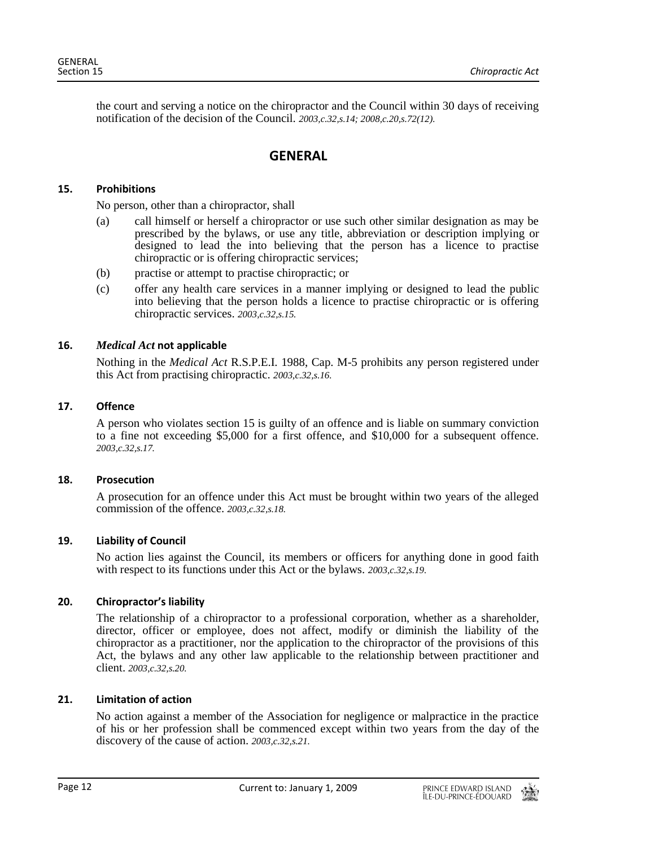<span id="page-11-0"></span>the court and serving a notice on the chiropractor and the Council within 30 days of receiving notification of the decision of the Council. *2003,c.32,s.14; 2008,c.20,s.72(12).*

## **GENERAL**

#### <span id="page-11-1"></span>**15. Prohibitions**

No person, other than a chiropractor, shall

- (a) call himself or herself a chiropractor or use such other similar designation as may be prescribed by the bylaws, or use any title, abbreviation or description implying or designed to lead the into believing that the person has a licence to practise chiropractic or is offering chiropractic services;
- (b) practise or attempt to practise chiropractic; or
- (c) offer any health care services in a manner implying or designed to lead the public into believing that the person holds a licence to practise chiropractic or is offering chiropractic services. *2003,c.32,s.15.*

#### <span id="page-11-2"></span>**16.** *Medical Act* **not applicable**

Nothing in the *Medical Act* R.S.P.E.I. 1988, Cap. M-5 prohibits any person registered under this Act from practising chiropractic. *2003,c.32,s.16.*

#### <span id="page-11-3"></span>**17. Offence**

A person who violates section 15 is guilty of an offence and is liable on summary conviction to a fine not exceeding \$5,000 for a first offence, and \$10,000 for a subsequent offence. *2003,c.32,s.17.*

#### <span id="page-11-4"></span>**18. Prosecution**

A prosecution for an offence under this Act must be brought within two years of the alleged commission of the offence. *2003,c.32,s.18.*

#### <span id="page-11-5"></span>**19. Liability of Council**

No action lies against the Council, its members or officers for anything done in good faith with respect to its functions under this Act or the bylaws. *2003,c.32,s.19.*

#### <span id="page-11-6"></span>**20. Chiropractor's liability**

The relationship of a chiropractor to a professional corporation, whether as a shareholder, director, officer or employee, does not affect, modify or diminish the liability of the chiropractor as a practitioner, nor the application to the chiropractor of the provisions of this Act, the bylaws and any other law applicable to the relationship between practitioner and client. *2003,c.32,s.20.*

#### <span id="page-11-7"></span>**21. Limitation of action**

No action against a member of the Association for negligence or malpractice in the practice of his or her profession shall be commenced except within two years from the day of the discovery of the cause of action. *2003,c.32,s.21.*

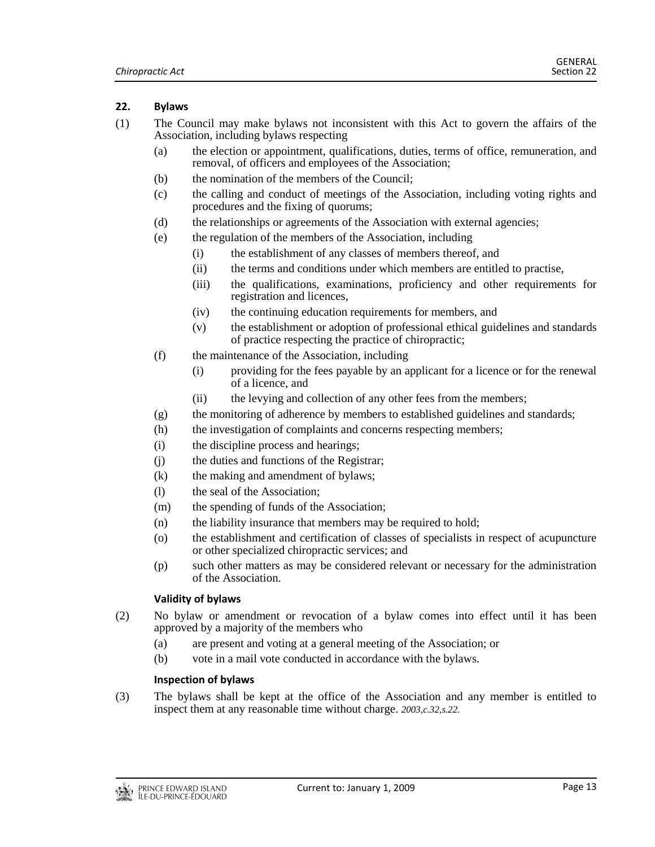#### <span id="page-12-0"></span>**22. Bylaws**

- (1) The Council may make bylaws not inconsistent with this Act to govern the affairs of the Association, including bylaws respecting
	- (a) the election or appointment, qualifications, duties, terms of office, remuneration, and removal, of officers and employees of the Association;
	- (b) the nomination of the members of the Council;
	- (c) the calling and conduct of meetings of the Association, including voting rights and procedures and the fixing of quorums;
	- (d) the relationships or agreements of the Association with external agencies;
	- (e) the regulation of the members of the Association, including
		- (i) the establishment of any classes of members thereof, and
		- (ii) the terms and conditions under which members are entitled to practise,
		- (iii) the qualifications, examinations, proficiency and other requirements for registration and licences,
		- (iv) the continuing education requirements for members, and
		- (v) the establishment or adoption of professional ethical guidelines and standards of practice respecting the practice of chiropractic;
	- (f) the maintenance of the Association, including
		- (i) providing for the fees payable by an applicant for a licence or for the renewal of a licence, and
		- (ii) the levying and collection of any other fees from the members;
	- $(g)$  the monitoring of adherence by members to established guidelines and standards;
	- (h) the investigation of complaints and concerns respecting members;
	- (i) the discipline process and hearings;
	- (j) the duties and functions of the Registrar;
	- (k) the making and amendment of bylaws;
	- (l) the seal of the Association;
	- (m) the spending of funds of the Association;
	- (n) the liability insurance that members may be required to hold;
	- (o) the establishment and certification of classes of specialists in respect of acupuncture or other specialized chiropractic services; and
	- (p) such other matters as may be considered relevant or necessary for the administration of the Association.

#### **Validity of bylaws**

- (2) No bylaw or amendment or revocation of a bylaw comes into effect until it has been approved by a majority of the members who
	- (a) are present and voting at a general meeting of the Association; or
	- (b) vote in a mail vote conducted in accordance with the bylaws.

#### **Inspection of bylaws**

(3) The bylaws shall be kept at the office of the Association and any member is entitled to inspect them at any reasonable time without charge. *2003,c.32,s.22.*